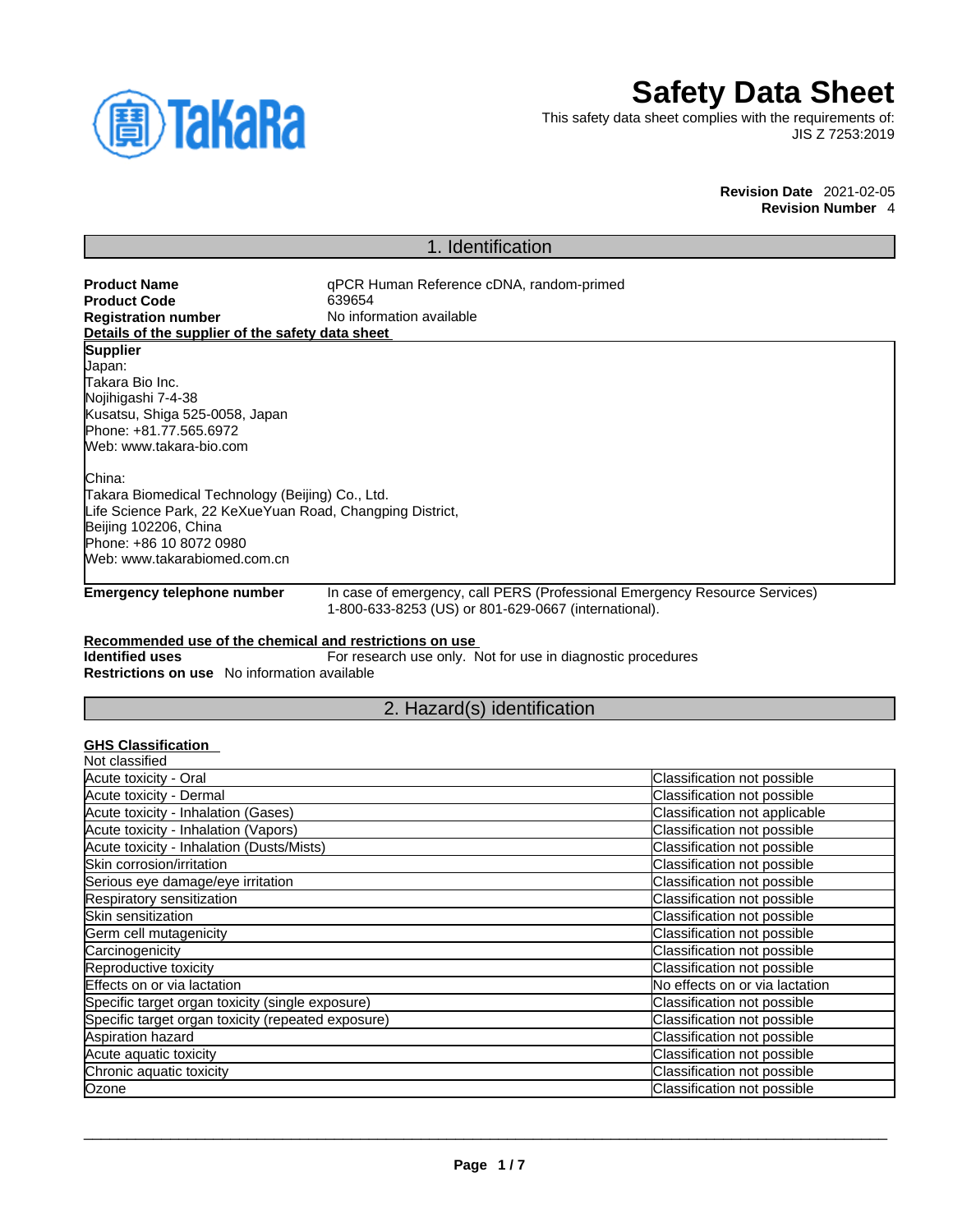

# **Safety Data Sheet**

This safety data sheet complies with the requirements of: JIS Z 7253:2019

> **Revision Date** 2021-02-05 **Revision Number** 4

# 1. Identification

| <b>Product Name</b>                                                                                                                      | qPCR Human Reference cDNA, random-primed                    |                                                                            |  |
|------------------------------------------------------------------------------------------------------------------------------------------|-------------------------------------------------------------|----------------------------------------------------------------------------|--|
| <b>Product Code</b>                                                                                                                      | 639654                                                      |                                                                            |  |
| <b>Registration number</b>                                                                                                               | No information available                                    |                                                                            |  |
| Details of the supplier of the safety data sheet                                                                                         |                                                             |                                                                            |  |
| <b>Supplier</b>                                                                                                                          |                                                             |                                                                            |  |
| Japan:                                                                                                                                   |                                                             |                                                                            |  |
| Takara Bio Inc.                                                                                                                          |                                                             |                                                                            |  |
| Nojihigashi 7-4-38                                                                                                                       |                                                             |                                                                            |  |
| Kusatsu, Shiga 525-0058, Japan                                                                                                           |                                                             |                                                                            |  |
| Phone: +81.77.565.6972                                                                                                                   |                                                             |                                                                            |  |
| Web: www.takara-bio.com                                                                                                                  |                                                             |                                                                            |  |
| China:                                                                                                                                   |                                                             |                                                                            |  |
| Takara Biomedical Technology (Beijing) Co., Ltd.                                                                                         |                                                             |                                                                            |  |
| Life Science Park, 22 KeXueYuan Road, Changping District,                                                                                |                                                             |                                                                            |  |
| Beijing 102206, China                                                                                                                    |                                                             |                                                                            |  |
| Phone: +86 10 8072 0980                                                                                                                  |                                                             |                                                                            |  |
| Web: www.takarabiomed.com.cn                                                                                                             |                                                             |                                                                            |  |
| <b>Emergency telephone number</b>                                                                                                        | 1-800-633-8253 (US) or 801-629-0667 (international).        | In case of emergency, call PERS (Professional Emergency Resource Services) |  |
| Recommended use of the chemical and restrictions on use<br><b>Identified uses</b><br><b>Restrictions on use</b> No information available | For research use only. Not for use in diagnostic procedures |                                                                            |  |
|                                                                                                                                          | 2. Hazard(s) identification                                 |                                                                            |  |
| <b>GHS Classification</b><br>Not classified                                                                                              |                                                             |                                                                            |  |
| Acute toxicity - Oral                                                                                                                    |                                                             | Classification not possible                                                |  |
| Acute toxicity - Dermal                                                                                                                  |                                                             | Classification not possible                                                |  |
| Acute toxicity - Inhalation (Gases)                                                                                                      |                                                             | Classification not applicable                                              |  |
| Acute toxicity - Inhalation (Vapors)                                                                                                     |                                                             | Classification not possible                                                |  |
| Acute toxicity - Inhalation (Dusts/Mists)                                                                                                |                                                             | Classification not possible                                                |  |
| Skin corrosion/irritation                                                                                                                |                                                             | Classification not possible                                                |  |
| Serious eye damage/eye irritation                                                                                                        |                                                             | Classification not possible                                                |  |
| Respiratory sensitization                                                                                                                |                                                             | Classification not possible                                                |  |
| Skin sensitization                                                                                                                       |                                                             | Classification not possible                                                |  |
| Germ cell mutagenicity                                                                                                                   |                                                             | Classification not possible                                                |  |

 $\_$  ,  $\_$  ,  $\_$  ,  $\_$  ,  $\_$  ,  $\_$  ,  $\_$  ,  $\_$  ,  $\_$  ,  $\_$  ,  $\_$  ,  $\_$  ,  $\_$  ,  $\_$  ,  $\_$  ,  $\_$  ,  $\_$  ,  $\_$  ,  $\_$  ,  $\_$  ,  $\_$  ,  $\_$  ,  $\_$  ,  $\_$  ,  $\_$  ,  $\_$  ,  $\_$  ,  $\_$  ,  $\_$  ,  $\_$  ,  $\_$  ,  $\_$  ,  $\_$  ,  $\_$  ,  $\_$  ,  $\_$  ,  $\_$  ,

Carcinogenicity Carcinogenicity Classification not possible Reproductive toxicity Classification not possible Effects on or via lactation **No effects** on or via lactation **No effects** on or via lactation Specific target organ toxicity (single exposure) Classification not possible Specific target organ toxicity (repeated exposure) Classification not possible Aspiration hazard Classification not possible Acute aquatic toxicity contracts of the contract of classification not possible contracts of classification not possible Chronic aquatic toxicity Classification not possible Ozone Classification not possible contract the Classification not possible contract the Classification not possible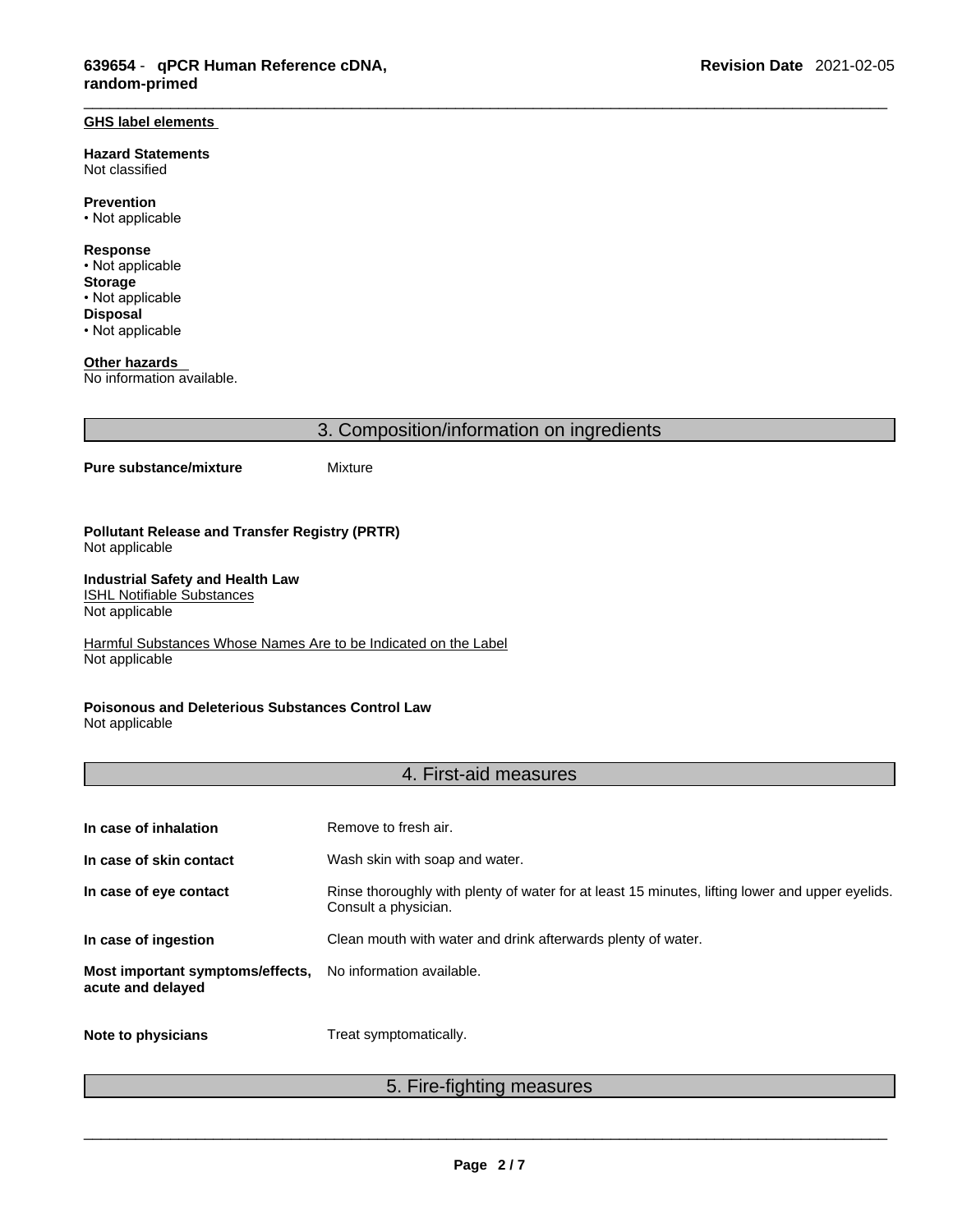# **GHS label elements**

**Hazard Statements**  Not classified

**Prevention** • Not applicable

**Response** • Not applicable

**Storage** • Not applicable **Disposal** • Not applicable

**Other hazards** 

No information available.

| 3. Composition/information on ingredients                                                      |                                                                 |  |
|------------------------------------------------------------------------------------------------|-----------------------------------------------------------------|--|
| Pure substance/mixture                                                                         | Mixture                                                         |  |
| <b>Pollutant Release and Transfer Registry (PRTR)</b><br>Not applicable                        |                                                                 |  |
| <b>Industrial Safety and Health Law</b><br><b>ISHL Notifiable Substances</b><br>Not applicable |                                                                 |  |
| Not applicable                                                                                 | Harmful Substances Whose Names Are to be Indicated on the Label |  |
| <b>Poisonous and Deleterious Substances Control Law</b>                                        |                                                                 |  |

Not applicable

# 4. First-aid measures

| In case of inhalation                                 | Remove to fresh air.                                                                                                    |
|-------------------------------------------------------|-------------------------------------------------------------------------------------------------------------------------|
| In case of skin contact                               | Wash skin with soap and water.                                                                                          |
| In case of eye contact                                | Rinse thoroughly with plenty of water for at least 15 minutes, lifting lower and upper eyelids.<br>Consult a physician. |
| In case of ingestion                                  | Clean mouth with water and drink afterwards plenty of water.                                                            |
| Most important symptoms/effects,<br>acute and delayed | No information available.                                                                                               |
|                                                       |                                                                                                                         |

**Note to physicians** Treat symptomatically.

# 5. Fire-fighting measures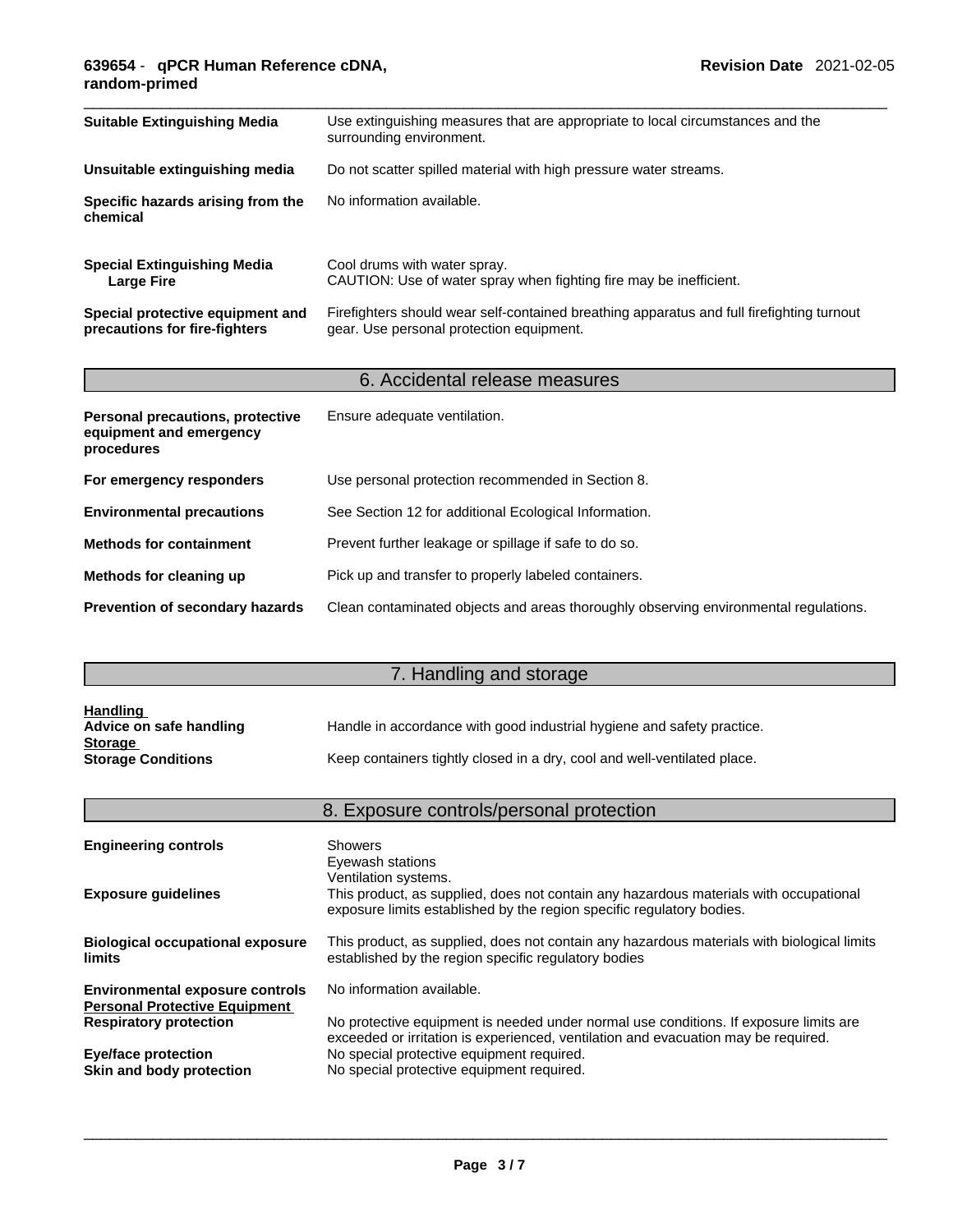## \_\_\_\_\_\_\_\_\_\_\_\_\_\_\_\_\_\_\_\_\_\_\_\_\_\_\_\_\_\_\_\_\_\_\_\_\_\_\_\_\_\_\_\_\_\_\_\_\_\_\_\_\_\_\_\_\_\_\_\_\_\_\_\_\_\_\_\_\_\_\_\_\_\_\_\_\_\_\_\_\_\_\_\_\_\_\_\_\_\_\_\_\_ **639654** - **qPCR Human Reference cDNA, random-primed**

| <b>Suitable Extinguishing Media</b>                                       | Use extinguishing measures that are appropriate to local circumstances and the<br>surrounding environment.                            |  |
|---------------------------------------------------------------------------|---------------------------------------------------------------------------------------------------------------------------------------|--|
| Unsuitable extinguishing media                                            | Do not scatter spilled material with high pressure water streams.                                                                     |  |
| Specific hazards arising from the<br>chemical                             | No information available.                                                                                                             |  |
| <b>Special Extinguishing Media</b><br><b>Large Fire</b>                   | Cool drums with water spray.<br>CAUTION: Use of water spray when fighting fire may be inefficient.                                    |  |
| Special protective equipment and<br>precautions for fire-fighters         | Firefighters should wear self-contained breathing apparatus and full firefighting turnout<br>gear. Use personal protection equipment. |  |
|                                                                           | 6. Accidental release measures                                                                                                        |  |
| Personal precautions, protective<br>equipment and emergency<br>procedures | Ensure adequate ventilation.                                                                                                          |  |
| For emergency responders                                                  | Use personal protection recommended in Section 8.                                                                                     |  |
| <b>Environmental precautions</b>                                          | See Section 12 for additional Ecological Information.                                                                                 |  |
| <b>Methods for containment</b>                                            | Prevent further leakage or spillage if safe to do so.                                                                                 |  |

**Methods for cleaning up** Pick up and transfer to properly labeled containers.

|  | Prevention of secondary hazards Clean contaminated objects and areas thoroughly observing environmental regulations. |  |
|--|----------------------------------------------------------------------------------------------------------------------|--|
|--|----------------------------------------------------------------------------------------------------------------------|--|

# **7. Handling and storage and storage and storage and storage and storage and storage and storage and storage and storage and storage and storage and storage and storage and storage and storage and storage and storage and s**

| <b>Handling</b>           |                                                                          |
|---------------------------|--------------------------------------------------------------------------|
| Advice on safe handling   | Handle in accordance with good industrial hygiene and safety practice.   |
| <b>Storage</b>            |                                                                          |
| <b>Storage Conditions</b> | Keep containers tightly closed in a dry, cool and well-ventilated place. |

|                                                                                | 8. Exposure controls/personal protection                                                                                                                                               |
|--------------------------------------------------------------------------------|----------------------------------------------------------------------------------------------------------------------------------------------------------------------------------------|
| <b>Engineering controls</b>                                                    | Showers<br>Eyewash stations                                                                                                                                                            |
| <b>Exposure guidelines</b>                                                     | Ventilation systems.<br>This product, as supplied, does not contain any hazardous materials with occupational<br>exposure limits established by the region specific regulatory bodies. |
| <b>Biological occupational exposure</b><br>limits                              | This product, as supplied, does not contain any hazardous materials with biological limits<br>established by the region specific regulatory bodies                                     |
| <b>Environmental exposure controls</b><br><b>Personal Protective Equipment</b> | No information available.                                                                                                                                                              |
| <b>Respiratory protection</b>                                                  | No protective equipment is needed under normal use conditions. If exposure limits are<br>exceeded or irritation is experienced, ventilation and evacuation may be required.            |
| <b>Eye/face protection</b><br>Skin and body protection                         | No special protective equipment required.<br>No special protective equipment required.                                                                                                 |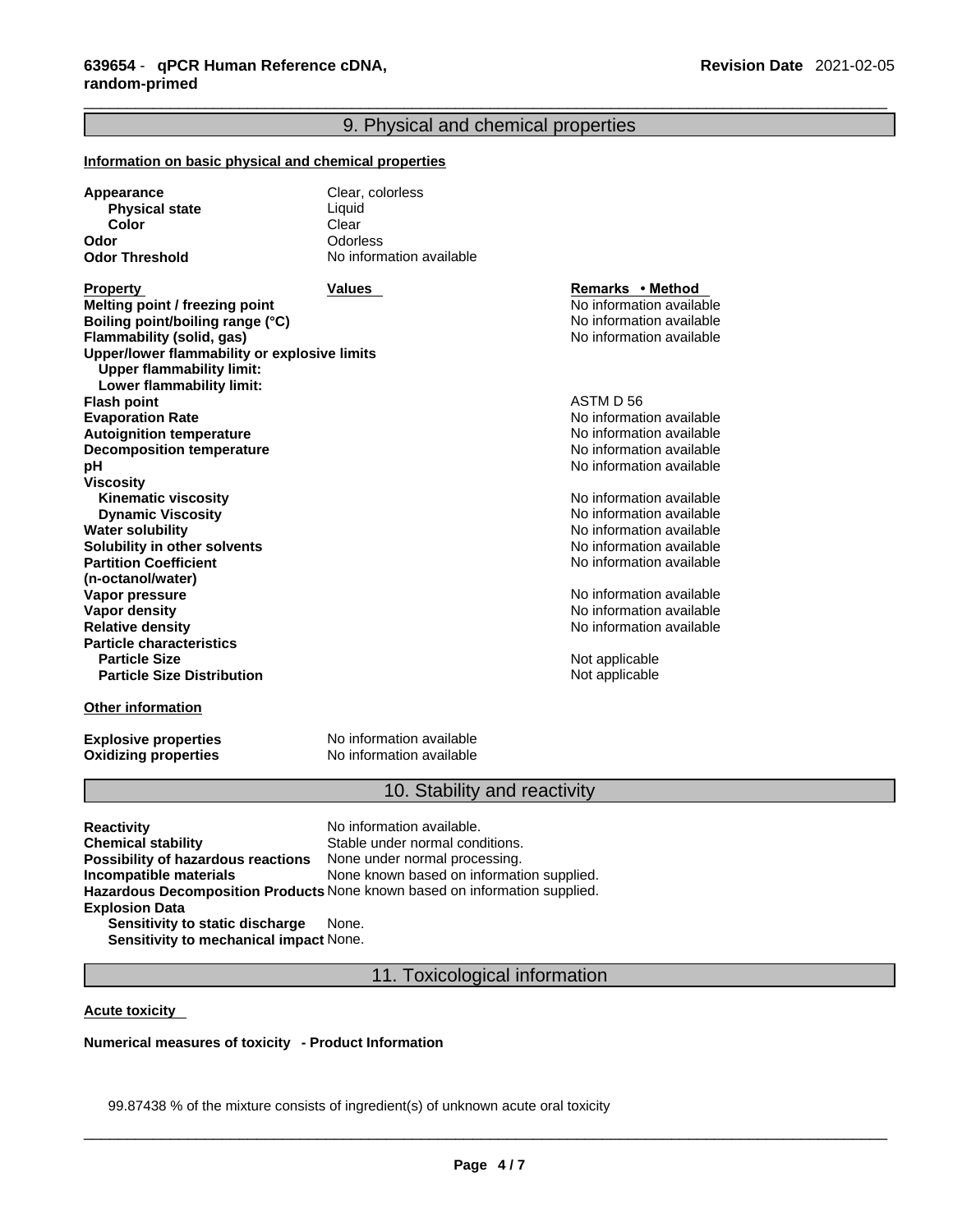# 9. Physical and chemical properties

| Information on basic physical and chemical properties                                                                                                                                                                               |                                                                                                                                            |                                                                                                                                          |  |
|-------------------------------------------------------------------------------------------------------------------------------------------------------------------------------------------------------------------------------------|--------------------------------------------------------------------------------------------------------------------------------------------|------------------------------------------------------------------------------------------------------------------------------------------|--|
| <b>Appearance</b><br><b>Physical state</b><br>Color<br>Odor<br><b>Odor Threshold</b>                                                                                                                                                | Clear, colorless<br>Liquid<br>Clear<br>Odorless<br>No information available                                                                |                                                                                                                                          |  |
| <b>Property</b><br>Melting point / freezing point<br>Boiling point/boiling range (°C)<br>Flammability (solid, gas)<br>Upper/lower flammability or explosive limits<br><b>Upper flammability limit:</b><br>Lower flammability limit: | Values                                                                                                                                     | Remarks • Method<br>No information available<br>No information available<br>No information available                                     |  |
| <b>Flash point</b><br><b>Evaporation Rate</b><br><b>Autoignition temperature</b><br><b>Decomposition temperature</b><br>рH                                                                                                          |                                                                                                                                            | ASTM D 56<br>No information available<br>No information available<br>No information available<br>No information available                |  |
| <b>Viscosity</b><br><b>Kinematic viscosity</b><br><b>Dynamic Viscosity</b><br><b>Water solubility</b><br>Solubility in other solvents<br><b>Partition Coefficient</b>                                                               |                                                                                                                                            | No information available<br>No information available<br>No information available<br>No information available<br>No information available |  |
| (n-octanol/water)<br>Vapor pressure<br><b>Vapor density</b><br><b>Relative density</b><br><b>Particle characteristics</b><br><b>Particle Size</b>                                                                                   |                                                                                                                                            | No information available<br>No information available<br>No information available<br>Not applicable                                       |  |
| <b>Particle Size Distribution</b><br><b>Other information</b>                                                                                                                                                                       |                                                                                                                                            | Not applicable                                                                                                                           |  |
| <b>Explosive properties</b><br><b>Oxidizing properties</b>                                                                                                                                                                          | No information available<br>No information available                                                                                       |                                                                                                                                          |  |
|                                                                                                                                                                                                                                     | 10. Stability and reactivity                                                                                                               |                                                                                                                                          |  |
| <b>Reactivity</b><br><b>Chemical stability</b><br>Possibility of hazardous reactions<br>Incompatible materials<br>Hazardous Decomposition Products None known based on information supplied.<br><b>Explosion Data</b>               | No information available.<br>Stable under normal conditions.<br>None under normal processing.<br>None known based on information supplied. |                                                                                                                                          |  |

**Sensitivity to static discharge** None. **Sensitivity to mechanical impact** None.

11. Toxicological information

**Acute toxicity** 

**Numerical measures of toxicity - Product Information**

99.87438 % of the mixture consists of ingredient(s) of unknown acute oral toxicity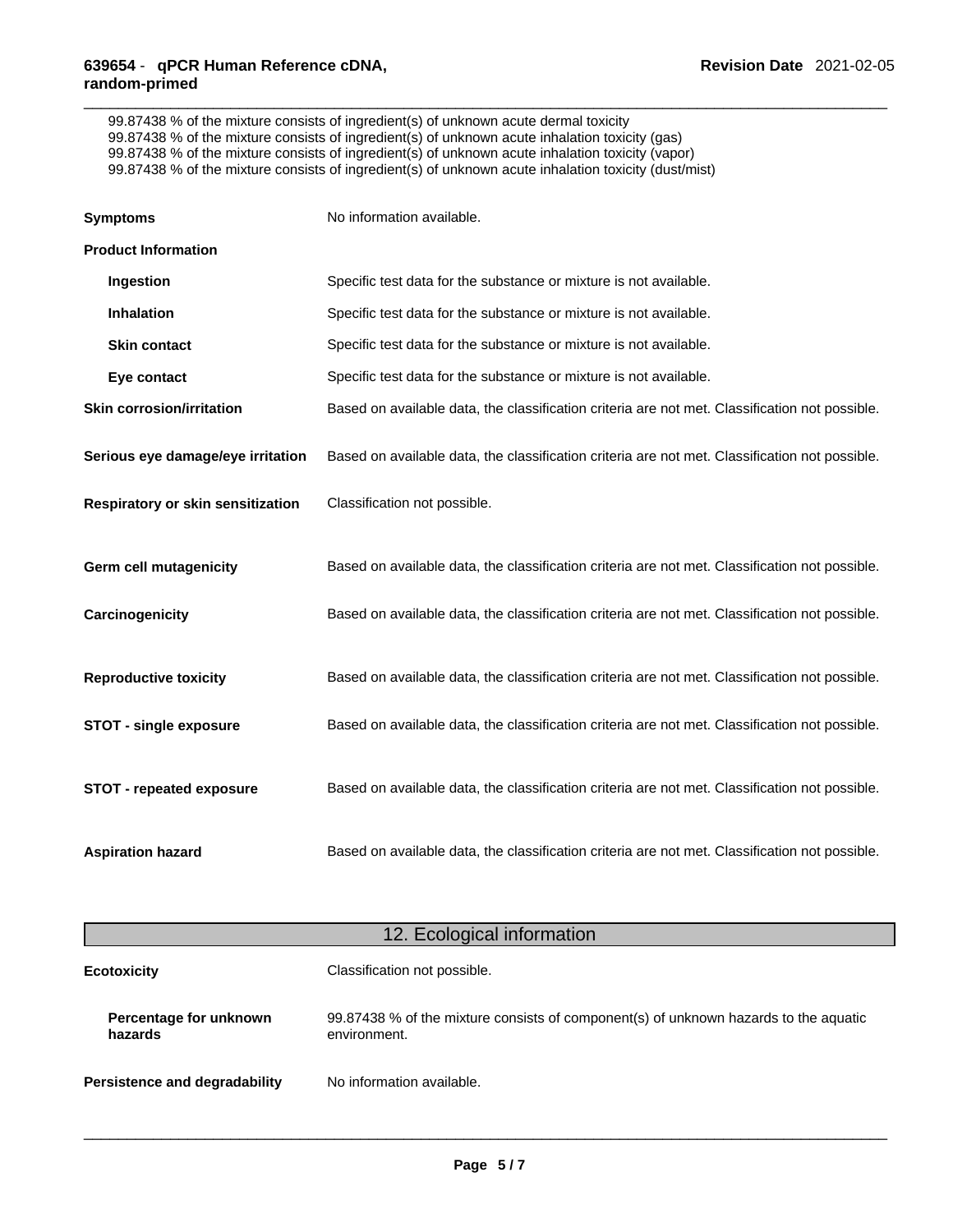99.87438 % of the mixture consists of ingredient(s) of unknown acute dermal toxicity 99.87438 % of the mixture consists of ingredient(s) of unknown acute inhalation toxicity (gas) 99.87438 % of the mixture consists of ingredient(s) of unknown acute inhalation toxicity (vapor) 99.87438 % of the mixture consists of ingredient(s) of unknown acute inhalation toxicity (dust/mist)

| <b>Symptoms</b>                   | No information available.                                                                      |
|-----------------------------------|------------------------------------------------------------------------------------------------|
| <b>Product Information</b>        |                                                                                                |
| Ingestion                         | Specific test data for the substance or mixture is not available.                              |
| <b>Inhalation</b>                 | Specific test data for the substance or mixture is not available.                              |
| <b>Skin contact</b>               | Specific test data for the substance or mixture is not available.                              |
| Eye contact                       | Specific test data for the substance or mixture is not available.                              |
| <b>Skin corrosion/irritation</b>  | Based on available data, the classification criteria are not met. Classification not possible. |
| Serious eye damage/eye irritation | Based on available data, the classification criteria are not met. Classification not possible. |
| Respiratory or skin sensitization | Classification not possible.                                                                   |
| <b>Germ cell mutagenicity</b>     | Based on available data, the classification criteria are not met. Classification not possible. |
| Carcinogenicity                   | Based on available data, the classification criteria are not met. Classification not possible. |
| <b>Reproductive toxicity</b>      | Based on available data, the classification criteria are not met. Classification not possible. |
| <b>STOT - single exposure</b>     | Based on available data, the classification criteria are not met. Classification not possible. |
| <b>STOT - repeated exposure</b>   | Based on available data, the classification criteria are not met. Classification not possible. |
|                                   |                                                                                                |

| 12. Ecological information           |                                                                                                      |
|--------------------------------------|------------------------------------------------------------------------------------------------------|
| <b>Ecotoxicity</b>                   | Classification not possible.                                                                         |
| Percentage for unknown<br>hazards    | 99.87438 % of the mixture consists of component(s) of unknown hazards to the aquatic<br>environment. |
| <b>Persistence and degradability</b> | No information available.                                                                            |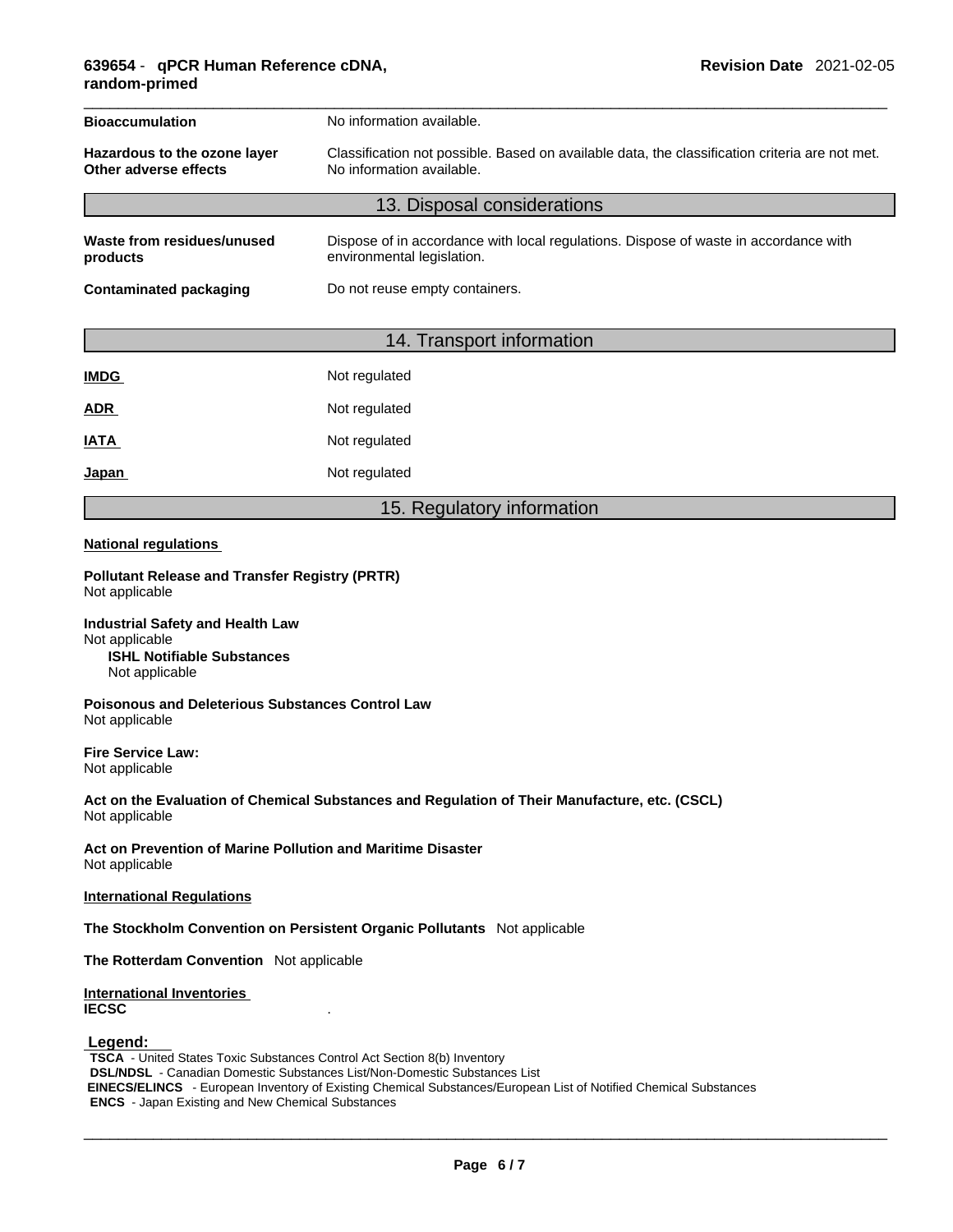| <b>Bioaccumulation</b><br>No information available.                                                                                                                                  |                                                                                                                    |  |
|--------------------------------------------------------------------------------------------------------------------------------------------------------------------------------------|--------------------------------------------------------------------------------------------------------------------|--|
| Classification not possible. Based on available data, the classification criteria are not met.<br>Hazardous to the ozone layer<br>Other adverse effects<br>No information available. |                                                                                                                    |  |
| 13. Disposal considerations                                                                                                                                                          |                                                                                                                    |  |
| Waste from residues/unused<br>products                                                                                                                                               | Dispose of in accordance with local regulations. Dispose of waste in accordance with<br>environmental legislation. |  |
| <b>Contaminated packaging</b>                                                                                                                                                        | Do not reuse empty containers.                                                                                     |  |

### 14. Transport information

| <b>IMDG</b> | Not regulated |
|-------------|---------------|
| <b>ADR</b>  | Not regulated |
| IATA        | Not regulated |
| Japan       | Not regulated |

### 15. Regulatory information

#### **National regulations**

**Pollutant Release and Transfer Registry (PRTR)** Not applicable

**Industrial Safety and Health Law** Not applicable **ISHL Notifiable Substances** Not applicable

**Poisonous and Deleterious Substances Control Law** Not applicable

**Fire Service Law:** Not applicable

**Act on the Evaluation of Chemical Substances and Regulation of Their Manufacture, etc. (CSCL)** Not applicable

**Act on Prevention of Marine Pollution and Maritime Disaster** Not applicable

**International Regulations**

**The Stockholm Convention on Persistent Organic Pollutants** Not applicable

**The Rotterdam Convention** Not applicable

#### **International Inventories IECSC** .

#### **Legend:**

**TSCA** - United States Toxic Substances Control Act Section 8(b) Inventory **DSL/NDSL** - Canadian Domestic Substances List/Non-Domestic Substances List  **EINECS/ELINCS** - European Inventory of Existing Chemical Substances/European List of Notified Chemical Substances **ENCS** - Japan Existing and New Chemical Substances